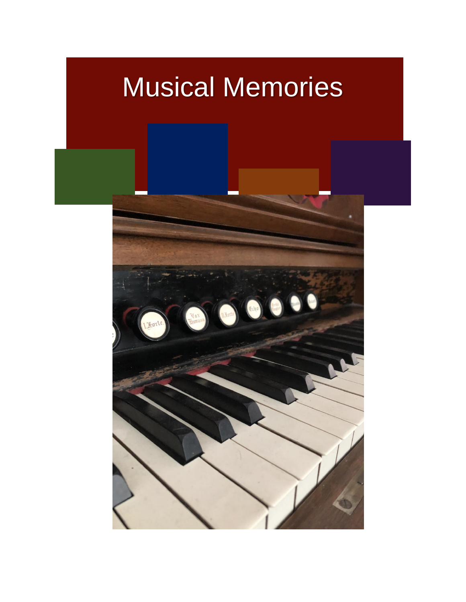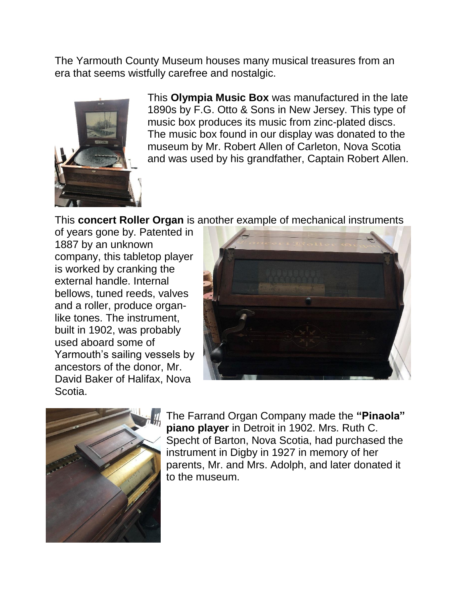The Yarmouth County Museum houses many musical treasures from an era that seems wistfully carefree and nostalgic.



This **Olympia Music Box** was manufactured in the late 1890s by F.G. Otto & Sons in New Jersey. This type of music box produces its music from zinc-plated discs. The music box found in our display was donated to the museum by Mr. Robert Allen of Carleton, Nova Scotia and was used by his grandfather, Captain Robert Allen.

This **concert Roller Organ** is another example of mechanical instruments

of years gone by. Patented in 1887 by an unknown company, this tabletop player is worked by cranking the external handle. Internal bellows, tuned reeds, valves and a roller, produce organlike tones. The instrument, built in 1902, was probably used aboard some of Yarmouth's sailing vessels by ancestors of the donor, Mr. David Baker of Halifax, Nova Scotia.





The Farrand Organ Company made the **"Pinaola" piano player** in Detroit in 1902. Mrs. Ruth C. Specht of Barton, Nova Scotia, had purchased the instrument in Digby in 1927 in memory of her parents, Mr. and Mrs. Adolph, and later donated it to the museum.